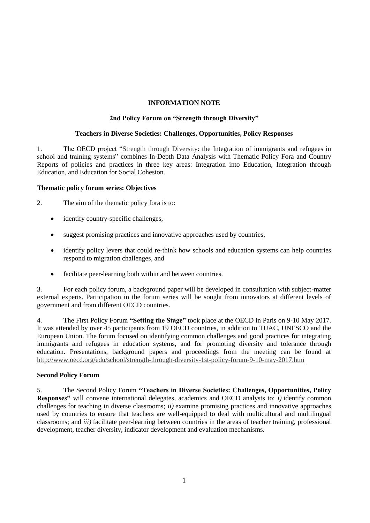# **INFORMATION NOTE**

### **2nd Policy Forum on "Strength through Diversity"**

#### **Teachers in Diverse Societies: Challenges, Opportunities, Policy Responses**

1. The OECD project ["Strength through Diversity:](http://www.oecd.org/edu/school/strength-through-diversity.htm) the Integration of immigrants and refugees in school and training systems" combines In-Depth Data Analysis with Thematic Policy Fora and Country Reports of policies and practices in three key areas: Integration into Education, Integration through Education, and Education for Social Cohesion.

#### **Thematic policy forum series: Objectives**

- 2. The aim of the thematic policy fora is to:
	- identify country-specific challenges,
	- suggest promising practices and innovative approaches used by countries,
	- identify policy levers that could re-think how schools and education systems can help countries respond to migration challenges, and
	- facilitate peer-learning both within and between countries.

3. For each policy forum, a background paper will be developed in consultation with subject-matter external experts. Participation in the forum series will be sought from innovators at different levels of government and from different OECD countries.

4. The First Policy Forum **"Setting the Stage"** took place at the OECD in Paris on 9-10 May 2017. It was attended by over 45 participants from 19 OECD countries, in addition to TUAC, UNESCO and the European Union. The forum focused on identifying common challenges and good practices for integrating immigrants and refugees in education systems, and for promoting diversity and tolerance through education. Presentations, background papers and proceedings from the meeting can be found at <http://www.oecd.org/edu/school/strength-through-diversity-1st-policy-forum-9-10-may-2017.htm>

## **Second Policy Forum**

5. The Second Policy Forum **"Teachers in Diverse Societies: Challenges, Opportunities, Policy Responses"** will convene international delegates, academics and OECD analysts to: *i)* identify common challenges for teaching in diverse classrooms; *ii)* examine promising practices and innovative approaches used by countries to ensure that teachers are well-equipped to deal with multicultural and multilingual classrooms; and *iii)* facilitate peer-learning between countries in the areas of teacher training, professional development, teacher diversity, indicator development and evaluation mechanisms.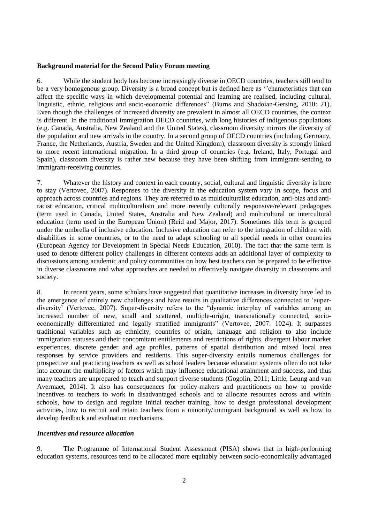#### **Background material for the Second Policy Forum meeting**

6. While the student body has become increasingly diverse in OECD countries, teachers still tend to be a very homogenous group. Diversity is a broad concept but is defined here as ''characteristics that can affect the specific ways in which developmental potential and learning are realised, including cultural, linguistic, ethnic, religious and socio-economic differences" (Burns and Shadoian-Gersing, 2010: 21). Even though the challenges of increased diversity are prevalent in almost all OECD countries, the context is different. In the traditional immigration OECD countries, with long histories of indigenous populations (e.g. Canada, Australia, New Zealand and the United States), classroom diversity mirrors the diversity of the population and new arrivals in the country. In a second group of OECD countries (including Germany, France, the Netherlands, Austria, Sweden and the United Kingdom), classroom diversity is strongly linked to more recent international migration. In a third group of countries (e.g. Ireland, Italy, Portugal and Spain), classroom diversity is rather new because they have been shifting from immigrant-sending to immigrant-receiving countries.

7. Whatever the history and context in each country, social, cultural and linguistic diversity is here to stay (Vertovec, 2007). Responses to the diversity in the education system vary in scope, focus and approach across countries and regions. They are referred to as multiculturalist education, anti-bias and antiracist education, critical multiculturalism and more recently culturally responsive/relevant pedagogies (term used in Canada, United States, Australia and New Zealand) and multicultural or intercultural education (term used in the European Union) (Reid and Major, 2017). Sometimes this term is grouped under the umbrella of inclusive education. Inclusive education can refer to the integration of children with disabilities in some countries, or to the need to adapt schooling to all special needs in other countries (European Agency for Development in Special Needs Education, 2010). The fact that the same term is used to denote different policy challenges in different contexts adds an additional layer of complexity to discussions among academic and policy communities on how best teachers can be prepared to be effective in diverse classrooms and what approaches are needed to effectively navigate diversity in classrooms and society.

8. In recent years, some scholars have suggested that quantitative increases in diversity have led to the emergence of entirely new challenges and have results in qualitative differences connected to 'superdiversity' (Vertovec, 2007). Super-diversity refers to the "dynamic interplay of variables among an increased number of new, small and scattered, multiple-origin, transnationally connected, socioeconomically differentiated and legally stratified immigrants" (Vertovec, 2007: 1024). It surpasses traditional variables such as ethnicity, countries of origin, language and religion to also include immigration statuses and their concomitant entitlements and restrictions of rights, divergent labour market experiences, discrete gender and age profiles, patterns of spatial distribution and mixed local area responses by service providers and residents. This super-diversity entails numerous challenges for prospective and practicing teachers as well as school leaders because education systems often do not take into account the multiplicity of factors which may influence educational attainment and success, and thus many teachers are unprepared to teach and support diverse students (Gogolin, 2011; Little, Leung and van Avermaet, 2014). It also has consequences for policy-makers and practitioners on how to provide incentives to teachers to work in disadvantaged schools and to allocate resources across and within schools, how to design and regulate initial teacher training, how to design professional development activities, how to recruit and retain teachers from a minority/immigrant background as well as how to develop feedback and evaluation mechanisms.

#### *Incentives and resource allocation*

9. The Programme of International Student Assessment (PISA) shows that in high-performing education systems, resources tend to be allocated more equitably between socio-economically advantaged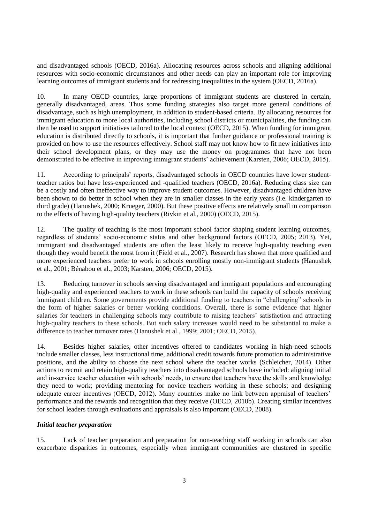and disadvantaged schools (OECD, 2016a). Allocating resources across schools and aligning additional resources with socio-economic circumstances and other needs can play an important role for improving learning outcomes of immigrant students and for redressing inequalities in the system (OECD, 2016a).

10. In many OECD countries, large proportions of immigrant students are clustered in certain, generally disadvantaged, areas. Thus some funding strategies also target more general conditions of disadvantage, such as high unemployment, in addition to student-based criteria. By allocating resources for immigrant education to more local authorities, including school districts or municipalities, the funding can then be used to support initiatives tailored to the local context (OECD, 2015). When funding for immigrant education is distributed directly to schools, it is important that further guidance or professional training is provided on how to use the resources effectively. School staff may not know how to fit new initiatives into their school development plans, or they may use the money on programmes that have not been demonstrated to be effective in improving immigrant students' achievement (Karsten, 2006; OECD, 2015).

11. According to principals' reports, disadvantaged schools in OECD countries have lower studentteacher ratios but have less-experienced and -qualified teachers (OECD, 2016a). Reducing class size can be a costly and often ineffective way to improve student outcomes. However, disadvantaged children have been shown to do better in school when they are in smaller classes in the early years (i.e. kindergarten to third grade) (Hanushek, 2000; Krueger, 2000). But these positive effects are relatively small in comparison to the effects of having high-quality teachers (Rivkin et al., 2000) (OECD, 2015).

12. The quality of teaching is the most important school factor shaping student learning outcomes, regardless of students' socio-economic status and other background factors (OECD, 2005; 2013). Yet, immigrant and disadvantaged students are often the least likely to receive high-quality teaching even though they would benefit the most from it (Field et al., 2007). Research has shown that more qualified and more experienced teachers prefer to work in schools enrolling mostly non-immigrant students (Hanushek et al., 2001; Bénabou et al., 2003; Karsten, 2006; OECD, 2015).

13. Reducing turnover in schools serving disadvantaged and immigrant populations and encouraging high-quality and experienced teachers to work in these schools can build the capacity of schools receiving immigrant children. Some governments provide additional funding to teachers in "challenging" schools in the form of higher salaries or better working conditions. Overall, there is some evidence that higher salaries for teachers in challenging schools may contribute to raising teachers' satisfaction and attracting high-quality teachers to these schools. But such salary increases would need to be substantial to make a difference to teacher turnover rates (Hanushek et al., 1999; 2001; OECD, 2015).

14. Besides higher salaries, other incentives offered to candidates working in high-need schools include smaller classes, less instructional time, additional credit towards future promotion to administrative positions, and the ability to choose the next school where the teacher works (Schleicher, 2014). Other actions to recruit and retain high-quality teachers into disadvantaged schools have included: aligning initial and in-service teacher education with schools' needs, to ensure that teachers have the skills and knowledge they need to work; providing mentoring for novice teachers working in these schools; and designing adequate career incentives (OECD, 2012). Many countries make no link between appraisal of teachers' performance and the rewards and recognition that they receive (OECD, 2010b). Creating similar incentives for school leaders through evaluations and appraisals is also important (OECD, 2008).

## *Initial teacher preparation*

15. Lack of teacher preparation and preparation for non-teaching staff working in schools can also exacerbate disparities in outcomes, especially when immigrant communities are clustered in specific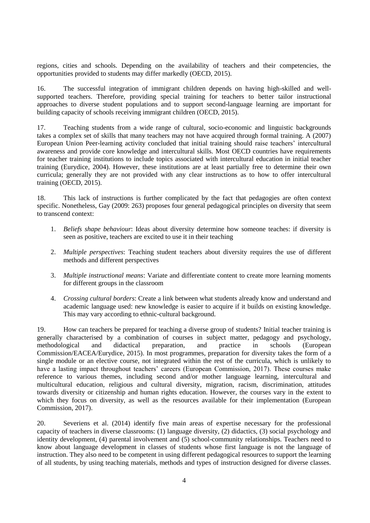regions, cities and schools. Depending on the availability of teachers and their competencies, the opportunities provided to students may differ markedly (OECD, 2015).

16. The successful integration of immigrant children depends on having high-skilled and wellsupported teachers. Therefore, providing special training for teachers to better tailor instructional approaches to diverse student populations and to support second-language learning are important for building capacity of schools receiving immigrant children (OECD, 2015).

17. Teaching students from a wide range of cultural, socio-economic and linguistic backgrounds takes a complex set of skills that many teachers may not have acquired through formal training. A (2007) European Union Peer-learning activity concluded that initial training should raise teachers' intercultural awareness and provide core knowledge and intercultural skills. Most OECD countries have requirements for teacher training institutions to include topics associated with intercultural education in initial teacher training (Eurydice, 2004). However, these institutions are at least partially free to determine their own curricula; generally they are not provided with any clear instructions as to how to offer intercultural training (OECD, 2015).

18. This lack of instructions is further complicated by the fact that pedagogies are often context specific. Nonetheless, Gay (2009: 263) proposes four general pedagogical principles on diversity that seem to transcend context:

- 1. *Beliefs shape behaviour*: Ideas about diversity determine how someone teaches: if diversity is seen as positive, teachers are excited to use it in their teaching
- 2. *Multiple perspectives*: Teaching student teachers about diversity requires the use of different methods and different perspectives
- 3. *Multiple instructional means*: Variate and differentiate content to create more learning moments for different groups in the classroom
- 4. *Crossing cultural borders*: Create a link between what students already know and understand and academic language used: new knowledge is easier to acquire if it builds on existing knowledge. This may vary according to ethnic-cultural background.

19. How can teachers be prepared for teaching a diverse group of students? Initial teacher training is generally characterised by a combination of courses in subject matter, pedagogy and psychology, methodological and didactical preparation, and practice in schools (European Commission/EACEA/Eurydice, 2015). In most programmes, preparation for diversity takes the form of a single module or an elective course, not integrated within the rest of the curricula, which is unlikely to have a lasting impact throughout teachers' careers (European Commission, 2017). These courses make reference to various themes, including second and/or mother language learning, intercultural and multicultural education, religious and cultural diversity, migration, racism, discrimination, attitudes towards diversity or citizenship and human rights education. However, the courses vary in the extent to which they focus on diversity, as well as the resources available for their implementation (European Commission, 2017).

20. Severiens et al. (2014) identify five main areas of expertise necessary for the professional capacity of teachers in diverse classrooms: (1) language diversity, (2) didactics, (3) social psychology and identity development, (4) parental involvement and (5) school-community relationships. Teachers need to know about language development in classes of students whose first language is not the language of instruction. They also need to be competent in using different pedagogical resources to support the learning of all students, by using teaching materials, methods and types of instruction designed for diverse classes.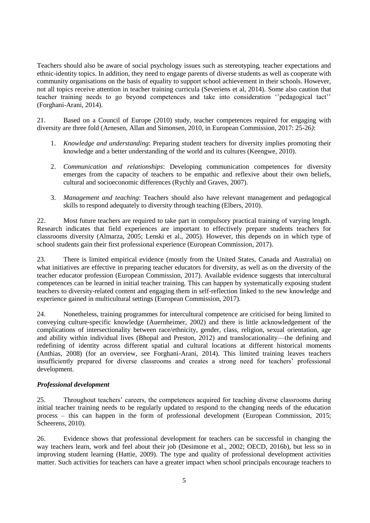Teachers should also be aware of social psychology issues such as stereotyping, teacher expectations and ethnic-identity topics. In addition, they need to engage parents of diverse students as well as cooperate with community organisations on the basis of equality to support school achievement in their schools. However, not all topics receive attention in teacher training curricula (Severiens et al, 2014). Some also caution that teacher training needs to go beyond competences and take into consideration ''pedagogical tact'' (Forghani-Arani, 2014).

21. Based on a Council of Europe (2010) study, teacher competences required for engaging with diversity are three fold (Arnesen, Allan and Simonsen, 2010, in European Commission, 2017: 25-26*)*:

- 1. *Knowledge and understanding*: Preparing student teachers for diversity implies promoting their knowledge and a better understanding of the world and its cultures (Keengwe, 2010).
- 2. *Communication and relationships*: Developing communication competences for diversity emerges from the capacity of teachers to be empathic and reflexive about their own beliefs, cultural and socioeconomic differences (Rychly and Graves, 2007).
- 3. *Management and teaching*: Teachers should also have relevant management and pedagogical skills to respond adequately to diversity through teaching (Elbers, 2010).

22. Most future teachers are required to take part in compulsory practical training of varying length. Research indicates that field experiences are important to effectively prepare students teachers for classrooms diversity (Almarza, 2005; Lenski et al., 2005). However, this depends on in which type of school students gain their first professional experience (European Commission, 2017).

23. There is limited empirical evidence (mostly from the United States, Canada and Australia) on what initiatives are effective in preparing teacher educators for diversity, as well as on the diversity of the teacher educator profession (European Commission, 2017). Available evidence suggests that intercultural competences can be learned in initial teacher training. This can happen by systematically exposing student teachers to diversity-related content and engaging them in self-reflection linked to the new knowledge and experience gained in multicultural settings (European Commission, 2017).

24. Nonetheless, training programmes for intercultural competence are criticised for being limited to conveying culture-specific knowledge (Auernheimer, 2002) and there is little acknowledgement of the complications of intersectionality between race/ethnicity, gender, class, religion, sexual orientation, age and ability within individual lives (Bhopal and Preston, 2012) and translocationality—the defining and redefining of identity across different spatial and cultural locations at different historical moments (Anthias, 2008) (for an overview, see Forghani-Arani, 2014). This limited training leaves teachers insufficiently prepared for diverse classrooms and creates a strong need for teachers' professional development.

#### *Professional development*

25. Throughout teachers' careers, the competences acquired for teaching diverse classrooms during initial teacher training needs to be regularly updated to respond to the changing needs of the education process – this can happen in the form of professional development (European Commission, 2015; Scheerens, 2010).

26. Evidence shows that professional development for teachers can be successful in changing the way teachers learn, work and feel about their job (Desimone et al., 2002; OECD, 2016b), but less so in improving student learning (Hattie, 2009). The type and quality of professional development activities matter. Such activities for teachers can have a greater impact when school principals encourage teachers to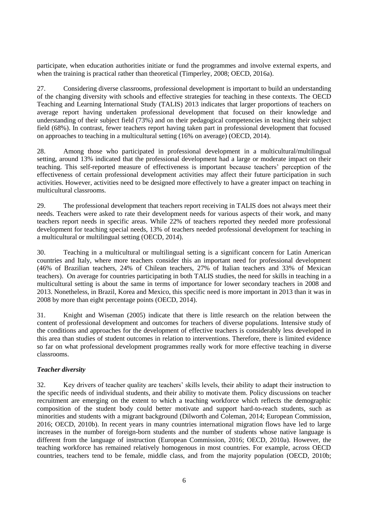participate, when education authorities initiate or fund the programmes and involve external experts, and when the training is practical rather than theoretical (Timperley, 2008; OECD, 2016a).

27. Considering diverse classrooms, professional development is important to build an understanding of the changing diversity with schools and effective strategies for teaching in these contexts. The OECD Teaching and Learning International Study (TALIS) 2013 indicates that larger proportions of teachers on average report having undertaken professional development that focused on their knowledge and understanding of their subject field (73%) and on their pedagogical competencies in teaching their subject field (68%). In contrast, fewer teachers report having taken part in professional development that focused on approaches to teaching in a multicultural setting (16% on average) (OECD, 2014).

28. Among those who participated in professional development in a multicultural/multilingual setting, around 13% indicated that the professional development had a large or moderate impact on their teaching. This self-reported measure of effectiveness is important because teachers' perception of the effectiveness of certain professional development activities may affect their future participation in such activities. However, activities need to be designed more effectively to have a greater impact on teaching in multicultural classrooms.

29. The professional development that teachers report receiving in TALIS does not always meet their needs. Teachers were asked to rate their development needs for various aspects of their work, and many teachers report needs in specific areas. While 22% of teachers reported they needed more professional development for teaching special needs, 13% of teachers needed professional development for teaching in a multicultural or multilingual setting (OECD, 2014).

30. Teaching in a multicultural or multilingual setting is a significant concern for Latin American countries and Italy, where more teachers consider this an important need for professional development (46% of Brazilian teachers, 24% of Chilean teachers, 27% of Italian teachers and 33% of Mexican teachers). On average for countries participating in both TALIS studies, the need for skills in teaching in a multicultural setting is about the same in terms of importance for lower secondary teachers in 2008 and 2013. Nonetheless, in Brazil, Korea and Mexico, this specific need is more important in 2013 than it was in 2008 by more than eight percentage points (OECD, 2014).

31. Knight and Wiseman (2005) indicate that there is little research on the relation between the content of professional development and outcomes for teachers of diverse populations. Intensive study of the conditions and approaches for the development of effective teachers is considerably less developed in this area than studies of student outcomes in relation to interventions. Therefore, there is limited evidence so far on what professional development programmes really work for more effective teaching in diverse classrooms.

## *Teacher diversity*

32. Key drivers of teacher quality are teachers' skills levels, their ability to adapt their instruction to the specific needs of individual students, and their ability to motivate them. Policy discussions on teacher recruitment are emerging on the extent to which a teaching workforce which reflects the demographic composition of the student body could better motivate and support hard-to-reach students, such as minorities and students with a migrant background (Dilworth and Coleman, 2014; European Commission, 2016; OECD, 2010b). In recent years in many countries international migration flows have led to large increases in the number of foreign-born students and the number of students whose native language is different from the language of instruction (European Commission, 2016; OECD, 2010a). However, the teaching workforce has remained relatively homogenous in most countries. For example, across OECD countries, teachers tend to be female, middle class, and from the majority population (OECD, 2010b;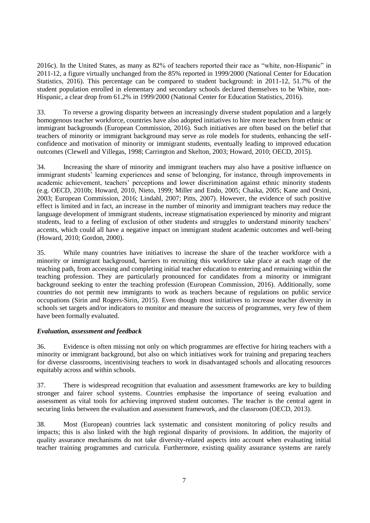2016c). In the United States, as many as 82% of teachers reported their race as "white, non-Hispanic" in 2011-12, a figure virtually unchanged from the 85% reported in 1999/2000 (National Center for Education Statistics, 2016). This percentage can be compared to student background: in 2011-12, 51.7% of the student population enrolled in elementary and secondary schools declared themselves to be White, non-Hispanic, a clear drop from 61.2% in 1999/2000 (National Center for Education Statistics, 2016).

33. To reverse a growing disparity between an increasingly diverse student population and a largely homogenous teacher workforce, countries have also adopted initiatives to hire more teachers from ethnic or immigrant backgrounds (European Commission, 2016). Such initiatives are often based on the belief that teachers of minority or immigrant background may serve as role models for students, enhancing the selfconfidence and motivation of minority or immigrant students, eventually leading to improved education outcomes (Clewell and Villegas, 1998; Carrington and Skelton, 2003; Howard, 2010; OECD, 2015).

34. Increasing the share of minority and immigrant teachers may also have a positive influence on immigrant students' learning experiences and sense of belonging, for instance, through improvements in academic achievement, teachers' perceptions and lower discrimination against ethnic minority students (e.g. OECD, 2010b; Howard, 2010, Nieto, 1999; Miller and Endo, 2005; Chaika, 2005; Kane and Orsini, 2003; European Commission, 2016; Lindahl, 2007; Pitts, 2007). However, the evidence of such positive effect is limited and in fact, an increase in the number of minority and immigrant teachers may reduce the language development of immigrant students, increase stigmatisation experienced by minority and migrant students, lead to a feeling of exclusion of other students and struggles to understand minority teachers' accents, which could all have a negative impact on immigrant student academic outcomes and well-being (Howard, 2010; Gordon, 2000).

35. While many countries have initiatives to increase the share of the teacher workforce with a minority or immigrant background, barriers to recruiting this workforce take place at each stage of the teaching path, from accessing and completing initial teacher education to entering and remaining within the teaching profession. They are particularly pronounced for candidates from a minority or immigrant background seeking to enter the teaching profession (European Commission, 2016). Additionally, some countries do not permit new immigrants to work as teachers because of regulations on public service occupations (Sirin and Rogers-Sirin, 2015). Even though most initiatives to increase teacher diversity in schools set targets and/or indicators to monitor and measure the success of programmes, very few of them have been formally evaluated.

## *Evaluation, assessment and feedback*

36. Evidence is often missing not only on which programmes are effective for hiring teachers with a minority or immigrant background, but also on which initiatives work for training and preparing teachers for diverse classrooms, incentivising teachers to work in disadvantaged schools and allocating resources equitably across and within schools.

37. There is widespread recognition that evaluation and assessment frameworks are key to building stronger and fairer school systems. Countries emphasise the importance of seeing evaluation and assessment as vital tools for achieving improved student outcomes. The teacher is the central agent in securing links between the evaluation and assessment framework, and the classroom (OECD, 2013).

38. Most (European) countries lack systematic and consistent monitoring of policy results and impacts; this is also linked with the high regional disparity of provisions. In addition, the majority of quality assurance mechanisms do not take diversity-related aspects into account when evaluating initial teacher training programmes and curricula. Furthermore, existing quality assurance systems are rarely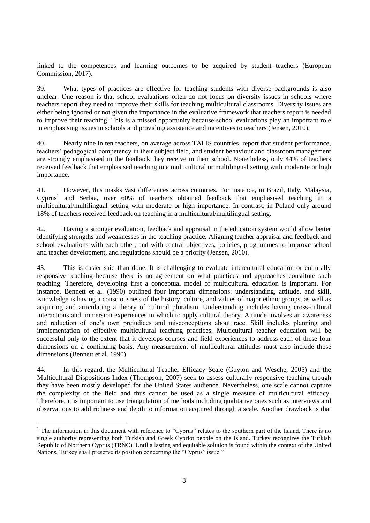linked to the competences and learning outcomes to be acquired by student teachers (European Commission, 2017).

39. What types of practices are effective for teaching students with diverse backgrounds is also unclear. One reason is that school evaluations often do not focus on diversity issues in schools where teachers report they need to improve their skills for teaching multicultural classrooms. Diversity issues are either being ignored or not given the importance in the evaluative framework that teachers report is needed to improve their teaching. This is a missed opportunity because school evaluations play an important role in emphasising issues in schools and providing assistance and incentives to teachers (Jensen, 2010).

40. Nearly nine in ten teachers, on average across TALIS countries, report that student performance, teachers' pedagogical competency in their subject field, and student behaviour and classroom management are strongly emphasised in the feedback they receive in their school. Nonetheless, only 44% of teachers received feedback that emphasised teaching in a multicultural or multilingual setting with moderate or high importance.

41. However, this masks vast differences across countries. For instance, in Brazil, Italy, Malaysia, Cyprus<sup>1</sup> and Serbia, over 60% of teachers obtained feedback that emphasised teaching in a multicultural/multilingual setting with moderate or high importance. In contrast, in Poland only around 18% of teachers received feedback on teaching in a multicultural/multilingual setting.

42. Having a stronger evaluation, feedback and appraisal in the education system would allow better identifying strengths and weaknesses in the teaching practice. Aligning teacher appraisal and feedback and school evaluations with each other, and with central objectives, policies, programmes to improve school and teacher development, and regulations should be a priority (Jensen, 2010).

43. This is easier said than done. It is challenging to evaluate intercultural education or culturally responsive teaching because there is no agreement on what practices and approaches constitute such teaching. Therefore, developing first a conceptual model of multicultural education is important. For instance, Bennett et al. (1990) outlined four important dimensions: understanding, attitude, and skill. Knowledge is having a consciousness of the history, culture, and values of major ethnic groups, as well as acquiring and articulating a theory of cultural pluralism. Understanding includes having cross-cultural interactions and immersion experiences in which to apply cultural theory. Attitude involves an awareness and reduction of one's own prejudices and misconceptions about race. Skill includes planning and implementation of effective multicultural teaching practices. Multicultural teacher education will be successful only to the extent that it develops courses and field experiences to address each of these four dimensions on a continuing basis. Any measurement of multicultural attitudes must also include these dimensions (Bennett et al. 1990).

44. In this regard, the Multicultural Teacher Efficacy Scale (Guyton and Wesche, 2005) and the Multicultural Dispositions Index (Thompson, 2007) seek to assess culturally responsive teaching though they have been mostly developed for the United States audience. Nevertheless, one scale cannot capture the complexity of the field and thus cannot be used as a single measure of multicultural efficacy. Therefore, it is important to use triangulation of methods including qualitative ones such as interviews and observations to add richness and depth to information acquired through a scale. Another drawback is that

 $\overline{a}$ 

 $<sup>1</sup>$  The information in this document with reference to "Cyprus" relates to the southern part of the Island. There is no</sup> single authority representing both Turkish and Greek Cypriot people on the Island. Turkey recognizes the Turkish Republic of Northern Cyprus (TRNC). Until a lasting and equitable solution is found within the context of the United Nations, Turkey shall preserve its position concerning the "Cyprus" issue."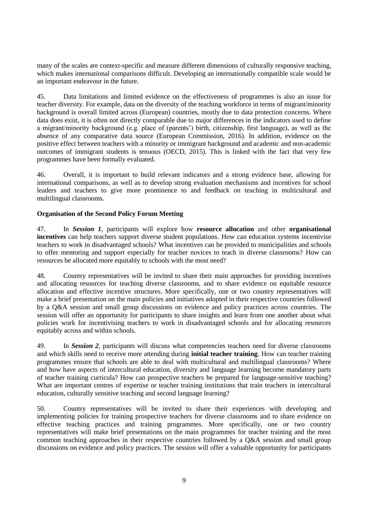many of the scales are context-specific and measure different dimensions of culturally responsive teaching, which makes international comparisons difficult. Developing an internationally compatible scale would be an important endeavour in the future.

45. Data limitations and limited evidence on the effectiveness of programmes is also an issue for teacher diversity. For example, data on the diversity of the teaching workforce in terms of migrant/minority background is overall limited across (European) countries, mostly due to data protection concerns. Where data does exist, it is often not directly comparable due to major differences in the indicators used to define a migrant/minority background (e.g. place of (parents') birth, citizenship, first language), as well as the absence of any comparative data source (European Commission, 2016). In addition, evidence on the positive effect between teachers with a minority or immigrant background and academic and non-academic outcomes of immigrant students is tenuous (OECD, 2015). This is linked with the fact that very few programmes have been formally evaluated.

46. Overall, it is important to build relevant indicators and a strong evidence base, allowing for international comparisons, as well as to develop strong evaluation mechanisms and incentives for school leaders and teachers to give more prominence to and feedback on teaching in multicultural and multilingual classrooms.

## **Organisation of the Second Policy Forum Meeting**

47. In *Session 1*, participants will explore how **resource allocation** and other **organisational incentives** can help teachers support diverse student populations. How can education systems incentivise teachers to work in disadvantaged schools? What incentives can be provided to municipalities and schools to offer mentoring and support especially for teacher novices to teach in diverse classrooms? How can resources be allocated more equitably to schools with the most need?

48. Country representatives will be invited to share their main approaches for providing incentives and allocating resources for teaching diverse classrooms, and to share evidence on equitable resource allocation and effective incentive structures. More specifically, one or two country representatives will make a brief presentation on the main policies and initiatives adopted in their respective countries followed by a Q&A session and small group discussions on evidence and policy practices across countries. The session will offer an opportunity for participants to share insights and learn from one another about what policies work for incentivising teachers to work in disadvantaged schools and for allocating resources equitably across and within schools.

49. In *Session 2*, participants will discuss what competencies teachers need for diverse classrooms and which skills need to receive more attending during **initial teacher training**. How can teacher training programmes ensure that schools are able to deal with multicultural and multilingual classrooms? Where and how have aspects of intercultural education, diversity and language learning become mandatory parts of teacher training curricula? How can prospective teachers be prepared for language-sensitive teaching? What are important centres of expertise or teacher training institutions that train teachers in intercultural education, culturally sensitive teaching and second language learning?

50. Country representatives will be invited to share their experiences with developing and implementing policies for training prospective teachers for diverse classrooms and to share evidence on effective teaching practices and training programmes. More specifically, one or two country representatives will make brief presentations on the main programmes for teacher training and the most common teaching approaches in their respective countries followed by a Q&A session and small group discussions on evidence and policy practices. The session will offer a valuable opportunity for participants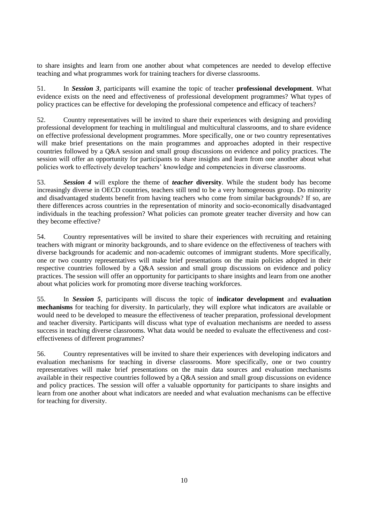to share insights and learn from one another about what competences are needed to develop effective teaching and what programmes work for training teachers for diverse classrooms.

51. In *Session 3*, participants will examine the topic of teacher **professional development**. What evidence exists on the need and effectiveness of professional development programmes? What types of policy practices can be effective for developing the professional competence and efficacy of teachers?

52. Country representatives will be invited to share their experiences with designing and providing professional development for teaching in multilingual and multicultural classrooms, and to share evidence on effective professional development programmes. More specifically, one or two country representatives will make brief presentations on the main programmes and approaches adopted in their respective countries followed by a Q&A session and small group discussions on evidence and policy practices. The session will offer an opportunity for participants to share insights and learn from one another about what policies work to effectively develop teachers' knowledge and competencies in diverse classrooms.

53. *Session 4* will explore the theme of *teacher* **diversity**. While the student body has become increasingly diverse in OECD countries, teachers still tend to be a very homogeneous group. Do minority and disadvantaged students benefit from having teachers who come from similar backgrounds? If so, are there differences across countries in the representation of minority and socio-economically disadvantaged individuals in the teaching profession? What policies can promote greater teacher diversity and how can they become effective?

54. Country representatives will be invited to share their experiences with recruiting and retaining teachers with migrant or minority backgrounds, and to share evidence on the effectiveness of teachers with diverse backgrounds for academic and non-academic outcomes of immigrant students. More specifically, one or two country representatives will make brief presentations on the main policies adopted in their respective countries followed by a Q&A session and small group discussions on evidence and policy practices. The session will offer an opportunity for participants to share insights and learn from one another about what policies work for promoting more diverse teaching workforces.

55. In *Session 5*, participants will discuss the topic of **indicator development** and **evaluation mechanisms** for teaching for diversity. In particularly, they will explore what indicators are available or would need to be developed to measure the effectiveness of teacher preparation, professional development and teacher diversity. Participants will discuss what type of evaluation mechanisms are needed to assess success in teaching diverse classrooms. What data would be needed to evaluate the effectiveness and costeffectiveness of different programmes?

56. Country representatives will be invited to share their experiences with developing indicators and evaluation mechanisms for teaching in diverse classrooms. More specifically, one or two country representatives will make brief presentations on the main data sources and evaluation mechanisms available in their respective countries followed by a Q&A session and small group discussions on evidence and policy practices. The session will offer a valuable opportunity for participants to share insights and learn from one another about what indicators are needed and what evaluation mechanisms can be effective for teaching for diversity.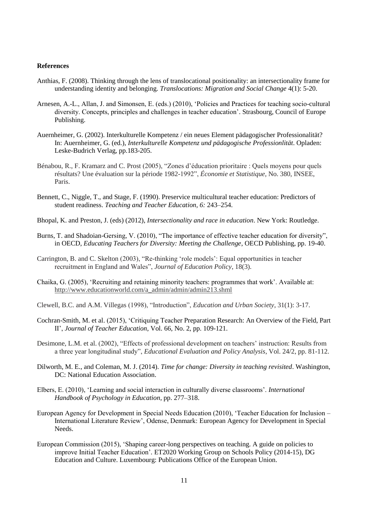#### **References**

- Anthias, F. (2008). Thinking through the lens of translocational positionality: an intersectionality frame for understanding identity and belonging. *Translocations: Migration and Social Change* 4(1): 5-20.
- Arnesen, A.-L., Allan, J. and Simonsen, E. (eds.) (2010), 'Policies and Practices for teaching socio-cultural diversity. Concepts, principles and challenges in teacher education'. Strasbourg, Council of Europe Publishing.
- Auernheimer, G. (2002). Interkulturelle Kompetenz / ein neues Element pädagogischer Professionalität? In: Auernheimer, G. (ed.), *Interkulturelle Kompetenz und pädagogische Professionlität*. Opladen: Leske-Budrich Verlag, pp.183-205.
- Bénabou, R., F. Kramarz and C. Prost (2005), "Zones d'éducation prioritaire : Quels moyens pour quels résultats? Une évaluation sur la période 1982-1992", *Économie et Statistique,* No. 380, INSEE, Paris.
- Bennett, C., Niggle, T., and Stage, F. (1990). Preservice multicultural teacher education: Predictors of student readiness. *Teaching and Teacher Education, 6:* 243–254.
- Bhopal, K. and Preston, J. (eds) (2012), *Intersectionality and race in education*. New York: Routledge.
- Burns, T. and Shadoian-Gersing, V. (2010), "The importance of effective teacher education for diversity", in OECD, *Educating Teachers for Diversity: Meeting the Challenge*, OECD Publishing, pp. 19-40.
- Carrington, B. and C. Skelton (2003), "Re-thinking 'role models': Equal opportunities in teacher recruitment in England and Wales", *Journal of Education Policy*, 18(3).
- Chaika, G. (2005), 'Recruiting and retaining minority teachers: programmes that work'. Available at: [http://www.educationworld.com/a\\_admin/admin/admin213.shml](http://www.educationworld.com/a_admin/admin/admin213.shml)
- Clewell, B.C. and A.M. Villegas (1998), "Introduction", *Education and Urban Society*, 31(1): 3-17.
- Cochran-Smith, M. et al. (2015), 'Critiquing Teacher Preparation Research: An Overview of the Field, Part II', *Journal of Teacher Education*, Vol. 66, No. 2, pp. 109-121.
- Desimone, L.M. et al. (2002), "Effects of professional development on teachers' instruction: Results from a three year longitudinal study", *Educational Evaluation and Policy Analysis*, Vol. 24/2, pp. 81-112.
- Dilworth, M. E., and Coleman, M. J. (2014). *Time for change: Diversity in teaching revisited*. Washington, DC: National Education Association.
- Elbers, E. (2010), 'Learning and social interaction in culturally diverse classrooms'. *International Handbook of Psychology in Education*, pp. 277–318.
- European Agency for Development in Special Needs Education (2010), 'Teacher Education for Inclusion International Literature Review', Odense, Denmark: European Agency for Development in Special Needs.
- European Commission (2015), 'Shaping career-long perspectives on teaching. A guide on policies to improve Initial Teacher Education'*.* ET2020 Working Group on Schools Policy (2014-15), DG Education and Culture. Luxembourg: Publications Office of the European Union.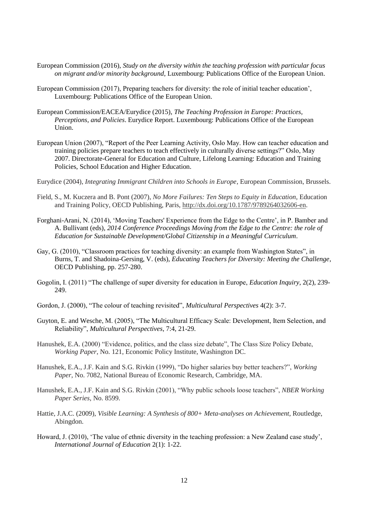- European Commission (2016), *Study on the diversity within the teaching profession with particular focus on migrant and/or minority background*, Luxembourg: Publications Office of the European Union.
- European Commission (2017), Preparing teachers for diversity: the role of initial teacher education', Luxembourg: Publications Office of the European Union.
- European Commission/EACEA/Eurydice (2015), *The Teaching Profession in Europe: Practices, Perceptions, and Policies*. Eurydice Report. Luxembourg: Publications Office of the European Union.
- European Union (2007), "Report of the Peer Learning Activity, Oslo May. How can teacher education and training policies prepare teachers to teach effectively in culturally diverse settings?" Oslo, May 2007. Directorate-General for Education and Culture, Lifelong Learning: Education and Training Policies, School Education and Higher Education.
- Eurydice (2004), *Integrating Immigrant Children into Schools in Europe*, European Commission, Brussels.
- Field, S., M. Kuczera and B. Pont (2007), *No More Failures: Ten Steps to Equity in Education*, Education and Training Policy, OECD Publishing, Paris, [http://dx.doi.org/10.1787/9789264032606-en.](http://dx.doi.org/10.1787/9789264032606-en)
- Forghani-Arani, N. (2014), 'Moving Teachers' Experience from the Edge to the Centre', in P. Bamber and A. Bullivant (eds), *2014 Conference Proceedings Moving from the Edge to the Centre: the role of Education for Sustainable Development/Global Citizenship in a Meaningful Curriculum*.
- Gay, G. (2010), "Classroom practices for teaching diversity: an example from Washington States", in Burns, T. and Shadoina-Gersing, V. (eds), *Educating Teachers for Diversity: Meeting the Challenge*, OECD Publishing, pp. 257-280.
- Gogolin, I. (2011) "The challenge of super diversity for education in Europe, *Education Inquiry*, 2(2), 239- 249.
- Gordon, J. (2000), "The colour of teaching revisited", *Multicultural Perspectives* 4(2): 3-7.
- Guyton, E. and Wesche, M. (2005), "The Multicultural Efficacy Scale: Development, Item Selection, and Reliability", *Multicultural Perspectives*, 7:4, 21-29.
- Hanushek, E.A. (2000) "Evidence, politics, and the class size debate", The Class Size Policy Debate, *Working Paper*, No. 121, Economic Policy Institute, Washington DC.
- Hanushek, E.A., J.F. Kain and S.G. Rivkin (1999), "Do higher salaries buy better teachers?", *Working Paper*, No. 7082, National Bureau of Economic Research, Cambridge, MA.
- Hanushek, E.A., J.F. Kain and S.G. Rivkin (2001), "Why public schools loose teachers", *NBER Working Paper Series*, No. 8599.
- Hattie, J.A.C. (2009), *Visible Learning: A Synthesis of 800+ Meta-analyses on Achievement*, Routledge, Abingdon.
- Howard, J. (2010), 'The value of ethnic diversity in the teaching profession: a New Zealand case study', *International Journal of Education* 2(1): 1-22.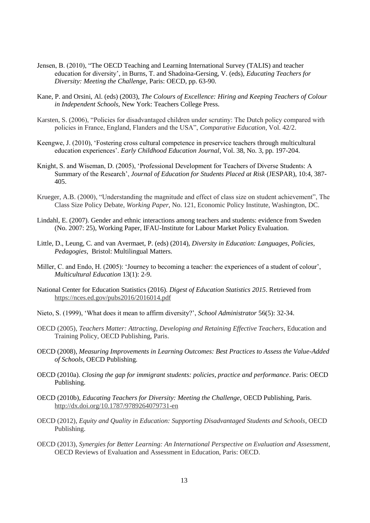- Jensen, B. (2010), "The OECD Teaching and Learning International Survey (TALIS) and teacher education for diversity', in Burns, T. and Shadoina-Gersing, V. (eds), *Educating Teachers for Diversity: Meeting the Challenge*, Paris: OECD, pp. 63-90.
- Kane, P. and Orsini, Al. (eds) (2003), *The Colours of Excellence: Hiring and Keeping Teachers of Colour in Independent Schools,* New York: Teachers College Press.
- Karsten, S. (2006), "Policies for disadvantaged children under scrutiny: The Dutch policy compared with policies in France, England, Flanders and the USA", *Comparative Education*, Vol. 42/2.
- Keengwe, J. (2010), 'Fostering cross cultural competence in preservice teachers through multicultural education experiences'. *Early Childhood Education Journal*, Vol. 38, No. 3, pp. 197-204.
- Knight, S. and Wiseman, D. (2005), 'Professional Development for Teachers of Diverse Students: A Summary of the Research', *Journal of Education for Students Placed at Risk* (JESPAR), 10:4, 387- 405.
- Krueger, A.B. (2000), "Understanding the magnitude and effect of class size on student achievement", The Class Size Policy Debate, *Working Paper*, No. 121, Economic Policy Institute, Washington, DC.
- Lindahl, E. (2007). Gender and ethnic interactions among teachers and students: evidence from Sweden (No. 2007: 25), Working Paper, IFAU-Institute for Labour Market Policy Evaluation.
- Little, D., Leung, C. and van Avermaet, P. (eds) (2014), *Diversity in Education: Languages, Policies, Pedagogies*, Bristol: Multilingual Matters.
- Miller, C. and Endo, H. (2005): 'Journey to becoming a teacher: the experiences of a student of colour', *Multicultural Education* 13(1): 2-9.
- National Center for Education Statistics (2016). *Digest of Education Statistics 2015*. Retrieved from <https://nces.ed.gov/pubs2016/2016014.pdf>
- Nieto, S. (1999), 'What does it mean to affirm diversity?', *School Administrator* 56(5): 32-34.
- OECD (2005), *Teachers Matter: Attracting, Developing and Retaining Effective Teachers*, Education and Training Policy, OECD Publishing, Paris.
- OECD (2008), *Measuring Improvements in Learning Outcomes: Best Practices to Assess the Value-Added of Schools*, OECD Publishing.
- OECD (2010a). *Closing the gap for immigrant students: policies, practice and performance*. Paris: OECD Publishing.
- OECD (2010b), *Educating Teachers for Diversity: Meeting the Challenge*, OECD Publishing, Paris. <http://dx.doi.org/10.1787/9789264079731-en>
- OECD (2012), *Equity and Quality in Education: Supporting Disadvantaged Students and Schools*, OECD Publishing.
- OECD (2013), *Synergies for Better Learning: An International Perspective on Evaluation and Assessment*, OECD Reviews of Evaluation and Assessment in Education, Paris: OECD.